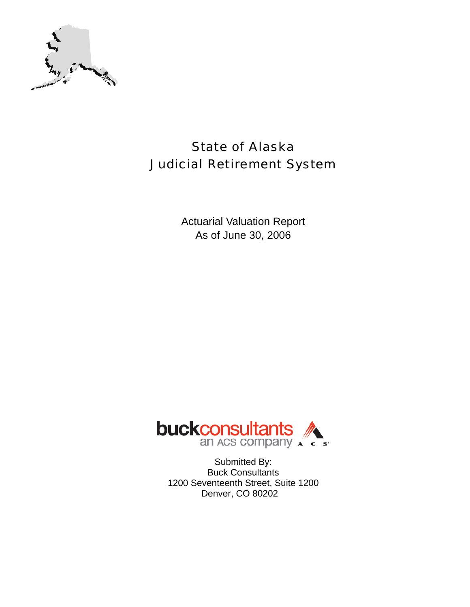

# State of Alaska Judicial Retirement System

Actuarial Valuation Report As of June 30, 2006



Submitted By: Buck Consultants 1200 Seventeenth Street, Suite 1200 Denver, CO 80202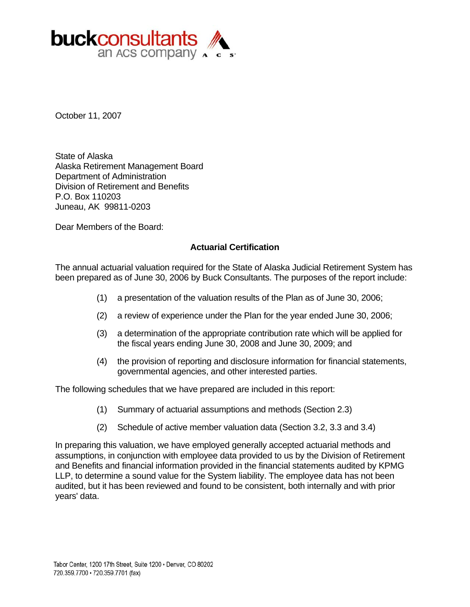

October 11, 2007

State of Alaska Alaska Retirement Management Board Department of Administration Division of Retirement and Benefits P.O. Box 110203 Juneau, AK 99811-0203

Dear Members of the Board:

#### **Actuarial Certification**

The annual actuarial valuation required for the State of Alaska Judicial Retirement System has been prepared as of June 30, 2006 by Buck Consultants. The purposes of the report include:

- (1) a presentation of the valuation results of the Plan as of June 30, 2006;
- (2) a review of experience under the Plan for the year ended June 30, 2006;
- (3) a determination of the appropriate contribution rate which will be applied for the fiscal years ending June 30, 2008 and June 30, 2009; and
- (4) the provision of reporting and disclosure information for financial statements, governmental agencies, and other interested parties.

The following schedules that we have prepared are included in this report:

- (1) Summary of actuarial assumptions and methods (Section 2.3)
- (2) Schedule of active member valuation data (Section 3.2, 3.3 and 3.4)

In preparing this valuation, we have employed generally accepted actuarial methods and assumptions, in conjunction with employee data provided to us by the Division of Retirement and Benefits and financial information provided in the financial statements audited by KPMG LLP, to determine a sound value for the System liability. The employee data has not been audited, but it has been reviewed and found to be consistent, both internally and with prior years' data.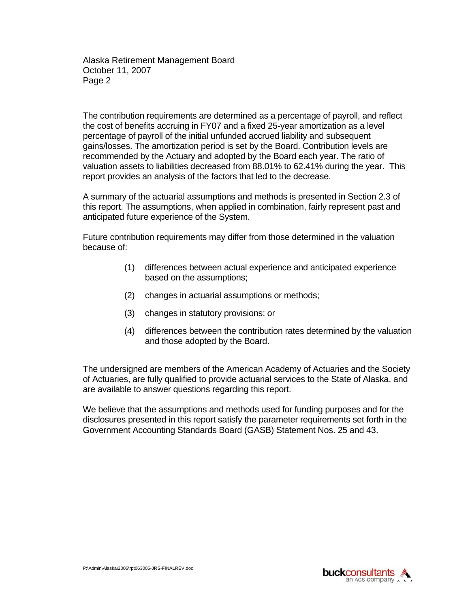Alaska Retirement Management Board October 11, 2007 Page 2

The contribution requirements are determined as a percentage of payroll, and reflect the cost of benefits accruing in FY07 and a fixed 25-year amortization as a level percentage of payroll of the initial unfunded accrued liability and subsequent gains/losses. The amortization period is set by the Board. Contribution levels are recommended by the Actuary and adopted by the Board each year. The ratio of valuation assets to liabilities decreased from 88.01% to 62.41% during the year. This report provides an analysis of the factors that led to the decrease.

A summary of the actuarial assumptions and methods is presented in Section 2.3 of this report. The assumptions, when applied in combination, fairly represent past and anticipated future experience of the System.

Future contribution requirements may differ from those determined in the valuation because of:

- (1) differences between actual experience and anticipated experience based on the assumptions;
- (2) changes in actuarial assumptions or methods;
- (3) changes in statutory provisions; or
- (4) differences between the contribution rates determined by the valuation and those adopted by the Board.

The undersigned are members of the American Academy of Actuaries and the Society of Actuaries, are fully qualified to provide actuarial services to the State of Alaska, and are available to answer questions regarding this report.

We believe that the assumptions and methods used for funding purposes and for the disclosures presented in this report satisfy the parameter requirements set forth in the Government Accounting Standards Board (GASB) Statement Nos. 25 and 43.

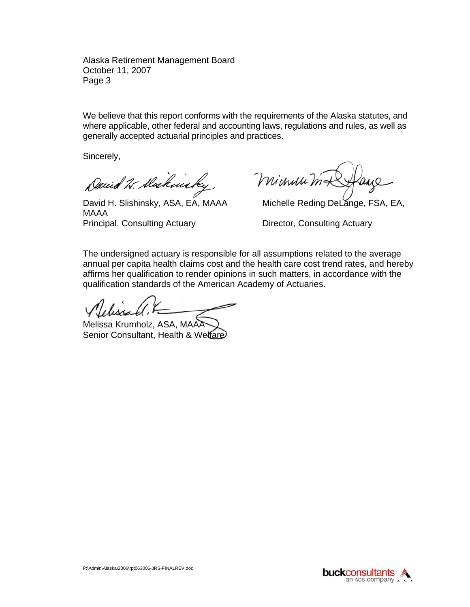Alaska Retirement Management Board October 11, 2007 Page 3

We believe that this report conforms with the requirements of the Alaska statutes, and where applicable, other federal and accounting laws, regulations and rules, as well as generally accepted actuarial principles and practices.

Sincerely,

David W. Alakmicky

David H. Slishinsky, ASA, EA, MAAA Michelle Reding DeLange, FSA, EA, MAAA Principal, Consulting Actuary **Director, Consulting Actuary** 

minum ma

The undersigned actuary is responsible for all assumptions related to the average annual per capita health claims cost and the health care cost trend rates, and hereby affirms her qualification to render opinions in such matters, in accordance with the qualification standards of the American Academy of Actuaries.

Melissa Krumholz, ASA, MAAA Senior Consultant, Health & Welfare

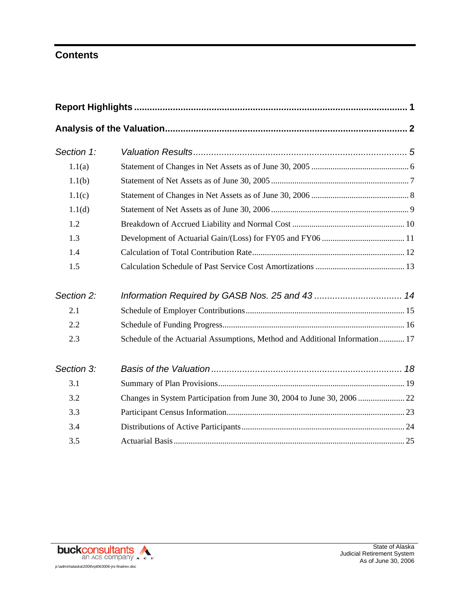# **Contents**

| Section 1: |                                                                             |
|------------|-----------------------------------------------------------------------------|
| 1.1(a)     |                                                                             |
| 1.1(b)     |                                                                             |
| 1.1(c)     |                                                                             |
| 1.1(d)     |                                                                             |
| 1.2        |                                                                             |
| 1.3        |                                                                             |
| 1.4        |                                                                             |
| 1.5        |                                                                             |
| Section 2: |                                                                             |
| 2.1        |                                                                             |
| 2.2        |                                                                             |
| 2.3        | Schedule of the Actuarial Assumptions, Method and Additional Information 17 |
| Section 3: |                                                                             |
| 3.1        |                                                                             |
| 3.2        |                                                                             |
| 3.3        |                                                                             |
| 3.4        |                                                                             |
| 3.5        |                                                                             |

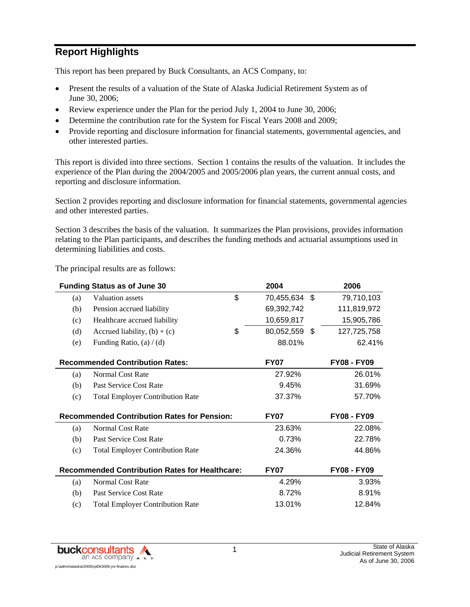# **Report Highlights**

This report has been prepared by Buck Consultants, an ACS Company, to:

- Present the results of a valuation of the State of Alaska Judicial Retirement System as of June 30, 2006;
- Review experience under the Plan for the period July 1, 2004 to June 30, 2006;
- Determine the contribution rate for the System for Fiscal Years 2008 and 2009;
- Provide reporting and disclosure information for financial statements, governmental agencies, and other interested parties.

This report is divided into three sections. Section 1 contains the results of the valuation. It includes the experience of the Plan during the 2004/2005 and 2005/2006 plan years, the current annual costs, and reporting and disclosure information.

Section 2 provides reporting and disclosure information for financial statements, governmental agencies and other interested parties.

Section 3 describes the basis of the valuation. It summarizes the Plan provisions, provides information relating to the Plan participants, and describes the funding methods and actuarial assumptions used in determining liabilities and costs.

The principal results are as follows:

|     | <b>Funding Status as of June 30</b>                   | 2004                |      | 2006               |
|-----|-------------------------------------------------------|---------------------|------|--------------------|
| (a) | Valuation assets                                      | \$<br>70,455,634 \$ |      | 79,710,103         |
| (b) | Pension accrued liability                             | 69,392,742          |      | 111,819,972        |
| (c) | Healthcare accrued liability                          | 10,659,817          |      | 15,905,786         |
| (d) | Accrued liability, $(b) + (c)$                        | \$<br>80,052,559    | - \$ | 127,725,758        |
| (e) | Funding Ratio, $(a) / (d)$                            | 88.01%              |      | 62.41%             |
|     | <b>Recommended Contribution Rates:</b>                | <b>FY07</b>         |      | <b>FY08 - FY09</b> |
| (a) | <b>Normal Cost Rate</b>                               | 27.92%              |      | 26.01%             |
| (b) | Past Service Cost Rate                                | 9.45%               |      | 31.69%             |
| (c) | <b>Total Employer Contribution Rate</b>               | 37.37%              |      | 57.70%             |
|     | <b>Recommended Contribution Rates for Pension:</b>    | <b>FY07</b>         |      | <b>FY08 - FY09</b> |
| (a) | <b>Normal Cost Rate</b>                               | 23.63%              |      | 22.08%             |
| (b) | Past Service Cost Rate                                | 0.73%               |      | 22.78%             |
| (c) | <b>Total Employer Contribution Rate</b>               | 24.36%              |      | 44.86%             |
|     | <b>Recommended Contribution Rates for Healthcare:</b> | <b>FY07</b>         |      | <b>FY08 - FY09</b> |
| (a) | <b>Normal Cost Rate</b>                               | 4.29%               |      | 3.93%              |
| (b) | Past Service Cost Rate                                | 8.72%               |      | 8.91%              |
| (c) | <b>Total Employer Contribution Rate</b>               | 13.01%              |      | 12.84%             |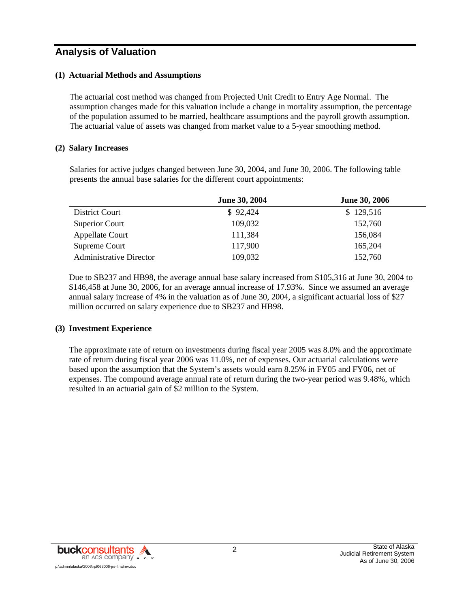## **Analysis of Valuation**

#### **(1) Actuarial Methods and Assumptions**

The actuarial cost method was changed from Projected Unit Credit to Entry Age Normal. The assumption changes made for this valuation include a change in mortality assumption, the percentage of the population assumed to be married, healthcare assumptions and the payroll growth assumption. The actuarial value of assets was changed from market value to a 5-year smoothing method.

#### **(2) Salary Increases**

Salaries for active judges changed between June 30, 2004, and June 30, 2006. The following table presents the annual base salaries for the different court appointments:

|                                | June 30, 2004 | <b>June 30, 2006</b> |
|--------------------------------|---------------|----------------------|
| District Court                 | \$92,424      | \$129,516            |
| Superior Court                 | 109,032       | 152,760              |
| Appellate Court                | 111,384       | 156,084              |
| Supreme Court                  | 117,900       | 165,204              |
| <b>Administrative Director</b> | 109,032       | 152,760              |

Due to SB237 and HB98, the average annual base salary increased from \$105,316 at June 30, 2004 to \$146,458 at June 30, 2006, for an average annual increase of 17.93%. Since we assumed an average annual salary increase of 4% in the valuation as of June 30, 2004, a significant actuarial loss of \$27 million occurred on salary experience due to SB237 and HB98.

#### **(3) Investment Experience**

The approximate rate of return on investments during fiscal year 2005 was 8.0% and the approximate rate of return during fiscal year 2006 was 11.0%, net of expenses. Our actuarial calculations were based upon the assumption that the System's assets would earn 8.25% in FY05 and FY06, net of expenses. The compound average annual rate of return during the two-year period was 9.48%, which resulted in an actuarial gain of \$2 million to the System.

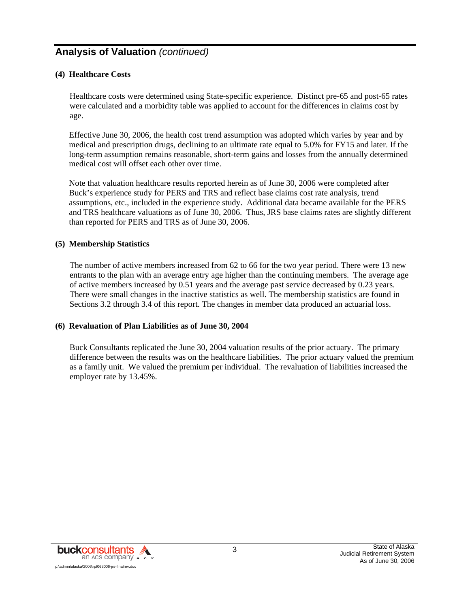# **Analysis of Valuation** *(continued)*

#### **(4) Healthcare Costs**

Healthcare costs were determined using State-specific experience. Distinct pre-65 and post-65 rates were calculated and a morbidity table was applied to account for the differences in claims cost by age.

Effective June 30, 2006, the health cost trend assumption was adopted which varies by year and by medical and prescription drugs, declining to an ultimate rate equal to 5.0% for FY15 and later. If the long-term assumption remains reasonable, short-term gains and losses from the annually determined medical cost will offset each other over time.

Note that valuation healthcare results reported herein as of June 30, 2006 were completed after Buck's experience study for PERS and TRS and reflect base claims cost rate analysis, trend assumptions, etc., included in the experience study. Additional data became available for the PERS and TRS healthcare valuations as of June 30, 2006. Thus, JRS base claims rates are slightly different than reported for PERS and TRS as of June 30, 2006.

#### **(5) Membership Statistics**

The number of active members increased from 62 to 66 for the two year period. There were 13 new entrants to the plan with an average entry age higher than the continuing members. The average age of active members increased by 0.51 years and the average past service decreased by 0.23 years. There were small changes in the inactive statistics as well. The membership statistics are found in Sections 3.2 through 3.4 of this report. The changes in member data produced an actuarial loss.

#### **(6) Revaluation of Plan Liabilities as of June 30, 2004**

Buck Consultants replicated the June 30, 2004 valuation results of the prior actuary. The primary difference between the results was on the healthcare liabilities. The prior actuary valued the premium as a family unit. We valued the premium per individual. The revaluation of liabilities increased the employer rate by 13.45%.

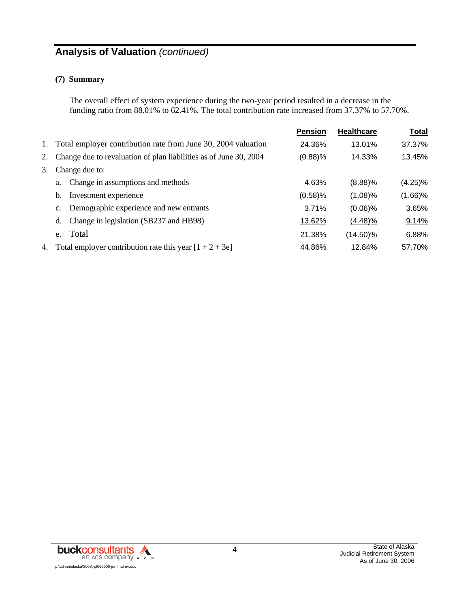# **Analysis of Valuation** *(continued)*

#### **(7) Summary**

The overall effect of system experience during the two-year period resulted in a decrease in the funding ratio from 88.01% to 62.41%. The total contribution rate increased from 37.37% to 57.70%.

|    |                                                                   | <b>Pension</b> | <b>Healthcare</b> | <b>Total</b> |
|----|-------------------------------------------------------------------|----------------|-------------------|--------------|
| 1. | Total employer contribution rate from June 30, 2004 valuation     | 24.36%         | 13.01%            | 37.37%       |
| 2. | Change due to revaluation of plan liabilities as of June 30, 2004 | (0.88)%        | 14.33%            | 13.45%       |
| 3. | Change due to:                                                    |                |                   |              |
|    | Change in assumptions and methods<br>a.                           | 4.63%          | $(8.88)$ %        | $(4.25)\%$   |
|    | Investment experience<br>b.                                       | (0.58)%        | $(1.08)\%$        | $(1.66)$ %   |
|    | c. Demographic experience and new entrants                        | 3.71%          | $(0.06)\%$        | 3.65%        |
|    | Change in legislation (SB237 and HB98)<br>d.                      | 13.62%         | $(4.48)\%$        | 9.14%        |
|    | Total<br>e.                                                       | 21.38%         | $(14.50)\%$       | 6.88%        |
| 4. | Total employer contribution rate this year $[1 + 2 + 3e]$         | 44.86%         | 12.84%            | 57.70%       |

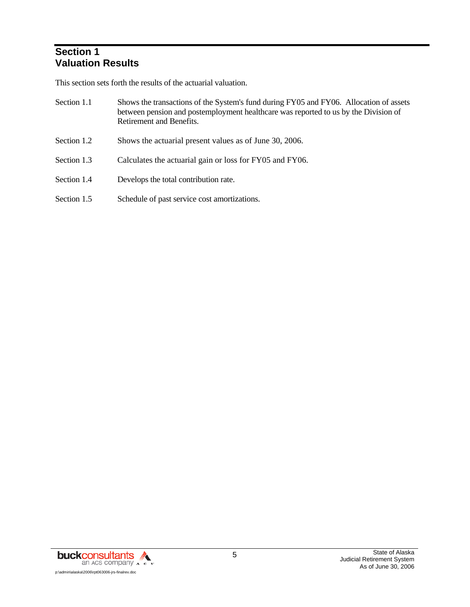## **Section 1 Valuation Results**

This section sets forth the results of the actuarial valuation.

| Section 1.1 | Shows the transactions of the System's fund during FY05 and FY06. Allocation of assets |
|-------------|----------------------------------------------------------------------------------------|
|             | between pension and postemployment healthcare was reported to us by the Division of    |
|             | Retirement and Benefits.                                                               |
|             |                                                                                        |

- Section 1.2 Shows the actuarial present values as of June 30, 2006.
- Section 1.3 Calculates the actuarial gain or loss for FY05 and FY06.
- Section 1.4 Develops the total contribution rate.
- Section 1.5 Schedule of past service cost amortizations.

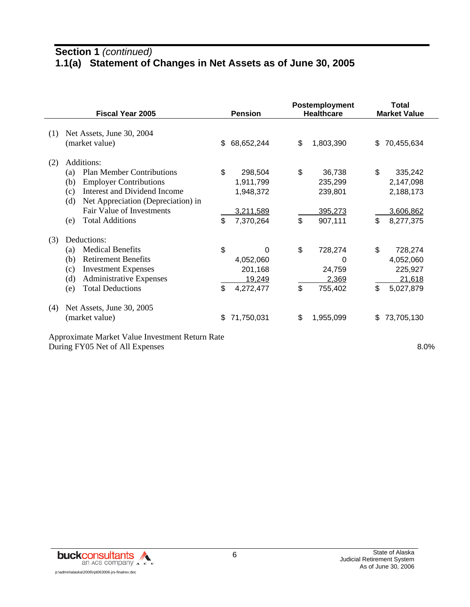# **Section 1** *(continued)* **1.1(a) Statement of Changes in Net Assets as of June 30, 2005**

|     | <b>Fiscal Year 2005</b>                                                                                                                                                                                                                         |          | <b>Pension</b>                                              |          | Postemployment<br><b>Healthcare</b>                |          | <b>Total</b><br><b>Market Value</b>                         |
|-----|-------------------------------------------------------------------------------------------------------------------------------------------------------------------------------------------------------------------------------------------------|----------|-------------------------------------------------------------|----------|----------------------------------------------------|----------|-------------------------------------------------------------|
| (1) | Net Assets, June 30, 2004<br>(market value)                                                                                                                                                                                                     | \$.      | 68,652,244                                                  | \$       | 1,803,390                                          | \$.      | 70,455,634                                                  |
| (2) | Additions:<br><b>Plan Member Contributions</b><br>(a)<br><b>Employer Contributions</b><br>(b)<br>Interest and Dividend Income<br>(c)<br>Net Appreciation (Depreciation) in<br>(d)<br>Fair Value of Investments<br><b>Total Additions</b><br>(e) | \$<br>\$ | 298,504<br>1,911,799<br>1,948,372<br>3,211,589<br>7,370,264 | \$<br>\$ | 36,738<br>235,299<br>239,801<br>395,273<br>907,111 | \$<br>\$ | 335,242<br>2,147,098<br>2,188,173<br>3,606,862<br>8,277,375 |
| (3) | Deductions:<br><b>Medical Benefits</b><br>(a)<br><b>Retirement Benefits</b><br>(b)<br><b>Investment Expenses</b><br>(c)<br><b>Administrative Expenses</b><br>(d)<br><b>Total Deductions</b><br>(e)                                              | \$<br>\$ | 0<br>4,052,060<br>201,168<br>19,249<br>4,272,477            | \$<br>\$ | 728,274<br>0<br>24,759<br>2,369<br>755,402         | \$<br>\$ | 728,274<br>4,052,060<br>225,927<br>21,618<br>5,027,879      |
| (4) | Net Assets, June 30, 2005<br>(market value)<br>Approximate Market Value Investment Return Rate                                                                                                                                                  | \$.      | 71,750,031                                                  | \$       | 1,955,099                                          | S        | 73,705,130                                                  |

During FY05 Net of All Expenses 8.0%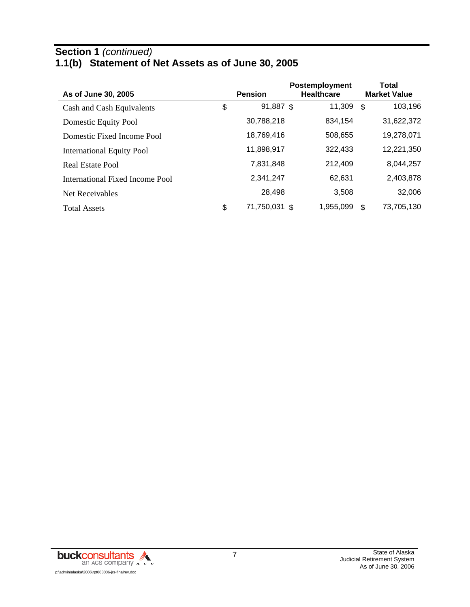#### **Section 1** *(continued)* **1.1(b) Statement of Net Assets as of June 30, 2005**

| As of June 30, 2005              |    | <b>Pension</b> | Postemployment<br><b>Healthcare</b> |           |      | Total<br><b>Market Value</b> |  |  |
|----------------------------------|----|----------------|-------------------------------------|-----------|------|------------------------------|--|--|
| Cash and Cash Equivalents        | \$ | 91,887 \$      |                                     | 11,309    | - \$ | 103,196                      |  |  |
| Domestic Equity Pool             |    | 30,788,218     |                                     | 834,154   |      | 31,622,372                   |  |  |
| Domestic Fixed Income Pool       |    | 18,769,416     |                                     | 508,655   |      | 19,278,071                   |  |  |
| <b>International Equity Pool</b> |    | 11,898,917     |                                     | 322,433   |      | 12,221,350                   |  |  |
| Real Estate Pool                 |    | 7,831,848      |                                     | 212,409   |      | 8,044,257                    |  |  |
| International Fixed Income Pool  |    | 2,341,247      |                                     | 62,631    |      | 2,403,878                    |  |  |
| Net Receivables                  |    | 28,498         |                                     | 3,508     |      | 32,006                       |  |  |
| <b>Total Assets</b>              | \$ | 71,750,031 \$  |                                     | 1,955,099 | \$.  | 73,705,130                   |  |  |

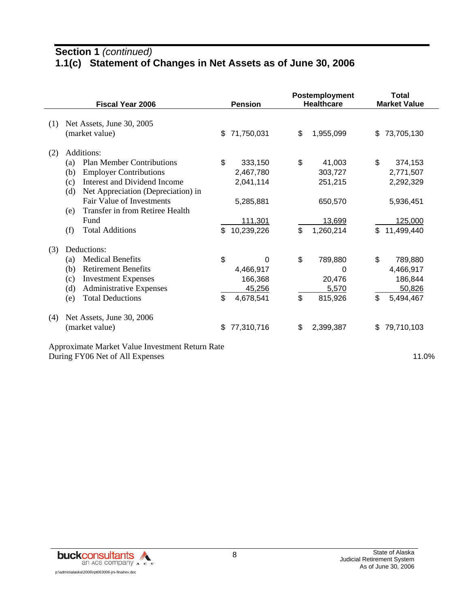# **Section 1** *(continued)* **1.1(c) Statement of Changes in Net Assets as of June 30, 2006**

|     | <b>Fiscal Year 2006</b>                         |    | <b>Pension</b> |    | Postemployment<br><b>Healthcare</b> |     | <b>Total</b><br><b>Market Value</b> |  |
|-----|-------------------------------------------------|----|----------------|----|-------------------------------------|-----|-------------------------------------|--|
|     |                                                 |    |                |    |                                     |     |                                     |  |
| (1) | Net Assets, June 30, 2005                       |    |                |    |                                     |     |                                     |  |
|     | (market value)                                  | \$ | 71,750,031     | \$ | 1,955,099                           | \$. | 73,705,130                          |  |
| (2) | Additions:                                      |    |                |    |                                     |     |                                     |  |
|     | <b>Plan Member Contributions</b><br>(a)         | \$ | 333,150        | \$ | 41,003                              | \$  | 374,153                             |  |
|     | <b>Employer Contributions</b><br>(b)            |    | 2,467,780      |    | 303,727                             |     | 2,771,507                           |  |
|     | Interest and Dividend Income<br>(c)             |    | 2,041,114      |    | 251,215                             |     | 2,292,329                           |  |
|     | Net Appreciation (Depreciation) in<br>(d)       |    |                |    |                                     |     |                                     |  |
|     | Fair Value of Investments                       |    | 5,285,881      |    | 650,570                             |     | 5,936,451                           |  |
|     | Transfer in from Retiree Health<br>(e)          |    |                |    |                                     |     |                                     |  |
|     | Fund                                            |    | 111,301        |    | 13,699                              |     | 125,000                             |  |
|     | <b>Total Additions</b><br>(f)                   | \$ | 10,239,226     | \$ | 1,260,214                           | \$  | 11,499,440                          |  |
| (3) | Deductions:                                     |    |                |    |                                     |     |                                     |  |
|     | <b>Medical Benefits</b><br>(a)                  | \$ | 0              | \$ | 789,880                             | \$  | 789,880                             |  |
|     | <b>Retirement Benefits</b><br>(b)               |    | 4,466,917      |    | 0                                   |     | 4,466,917                           |  |
|     | <b>Investment Expenses</b><br>(c)               |    | 166,368        |    | 20,476                              |     | 186,844                             |  |
|     | <b>Administrative Expenses</b><br>(d)           |    | 45,256         |    | 5,570                               |     | 50,826                              |  |
|     | <b>Total Deductions</b><br>(e)                  | \$ | 4,678,541      | \$ | 815,926                             | \$  | 5,494,467                           |  |
| (4) | Net Assets, June 30, 2006                       |    |                |    |                                     |     |                                     |  |
|     | (market value)                                  | \$ | 77,310,716     | \$ | 2,399,387                           | \$  | 79,710,103                          |  |
|     | Approximate Market Value Investment Return Rate |    |                |    |                                     |     |                                     |  |

During FY06 Net of All Expenses 11.0%

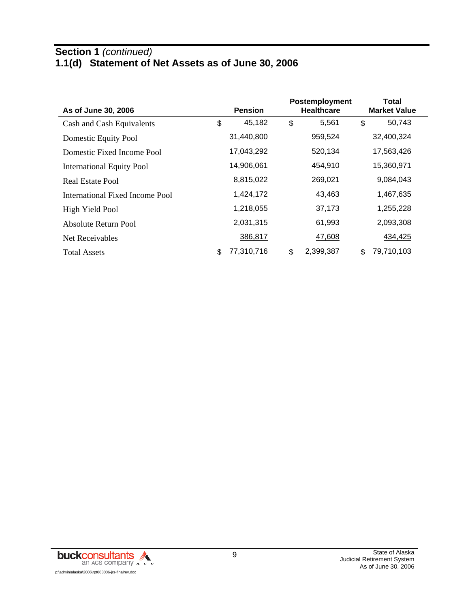## **Section 1** *(continued)* **1.1(d) Statement of Net Assets as of June 30, 2006**

| As of June 30, 2006              |    | <b>Pension</b> | Postemployment<br><b>Healthcare</b> |           |    | Total<br><b>Market Value</b> |
|----------------------------------|----|----------------|-------------------------------------|-----------|----|------------------------------|
| Cash and Cash Equivalents        | \$ | 45,182         | \$                                  | 5,561     | \$ | 50,743                       |
| Domestic Equity Pool             |    | 31,440,800     |                                     | 959,524   |    | 32,400,324                   |
| Domestic Fixed Income Pool       |    | 17,043,292     |                                     | 520,134   |    | 17,563,426                   |
| <b>International Equity Pool</b> |    | 14,906,061     | 454,910                             |           |    | 15,360,971                   |
| Real Estate Pool                 |    | 8,815,022      |                                     | 269,021   |    | 9,084,043                    |
| International Fixed Income Pool  |    | 1,424,172      |                                     | 43,463    |    | 1,467,635                    |
| High Yield Pool                  |    | 1,218,055      |                                     | 37,173    |    | 1,255,228                    |
| Absolute Return Pool             |    | 2,031,315      |                                     | 61,993    |    | 2,093,308                    |
| Net Receivables                  |    | 386,817        |                                     | 47,608    |    | 434,425                      |
| <b>Total Assets</b>              | \$ | 77,310,716     | \$                                  | 2,399,387 | \$ | 79,710,103                   |

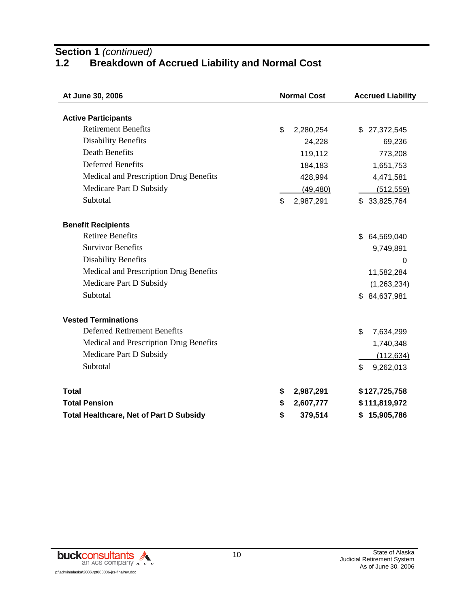**Section 1** *(continued)*

## **1.2 Breakdown of Accrued Liability and Normal Cost**

| At June 30, 2006                               | <b>Normal Cost</b> | <b>Accrued Liability</b> |  |  |  |
|------------------------------------------------|--------------------|--------------------------|--|--|--|
|                                                |                    |                          |  |  |  |
| <b>Active Participants</b>                     |                    |                          |  |  |  |
| <b>Retirement Benefits</b>                     | \$<br>2,280,254    | \$27,372,545             |  |  |  |
| <b>Disability Benefits</b>                     | 24,228             | 69,236                   |  |  |  |
| <b>Death Benefits</b>                          | 119,112            | 773,208                  |  |  |  |
| <b>Deferred Benefits</b>                       | 184,183            | 1,651,753                |  |  |  |
| Medical and Prescription Drug Benefits         | 428,994            | 4,471,581                |  |  |  |
| Medicare Part D Subsidy                        | (49, 480)          | (512, 559)               |  |  |  |
| Subtotal                                       | \$<br>2,987,291    | \$33,825,764             |  |  |  |
| <b>Benefit Recipients</b>                      |                    |                          |  |  |  |
| <b>Retiree Benefits</b>                        |                    | 64,569,040<br>\$         |  |  |  |
| <b>Survivor Benefits</b>                       |                    | 9,749,891                |  |  |  |
| <b>Disability Benefits</b>                     |                    | 0                        |  |  |  |
| Medical and Prescription Drug Benefits         |                    | 11,582,284               |  |  |  |
| Medicare Part D Subsidy                        |                    | (1,263,234)              |  |  |  |
| Subtotal                                       |                    | \$84,637,981             |  |  |  |
| <b>Vested Terminations</b>                     |                    |                          |  |  |  |
| <b>Deferred Retirement Benefits</b>            |                    | \$<br>7,634,299          |  |  |  |
| Medical and Prescription Drug Benefits         |                    | 1,740,348                |  |  |  |
| Medicare Part D Subsidy                        |                    | (112, 634)               |  |  |  |
| Subtotal                                       |                    | \$<br>9,262,013          |  |  |  |
| <b>Total</b>                                   | \$<br>2,987,291    | \$127,725,758            |  |  |  |
| <b>Total Pension</b>                           | \$<br>2,607,777    | \$111,819,972            |  |  |  |
| <b>Total Healthcare, Net of Part D Subsidy</b> | 379,514<br>\$      | \$15,905,786             |  |  |  |

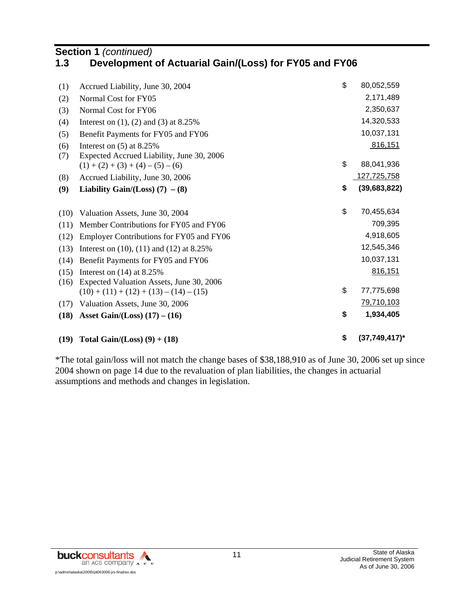## **Section 1 (continued)**<br>**1.3 Development 1.3 Development of Actuarial Gain/(Loss) for FY05 and FY06**

| (19)       | Total Gain/(Loss) $(9) + (18)$                                                        | \$<br>$(37,749,417)^*$ |
|------------|---------------------------------------------------------------------------------------|------------------------|
| (18)       | Asset Gain/(Loss) $(17) - (16)$                                                       | \$<br>1,934,405        |
| (17)       | Valuation Assets, June 30, 2006                                                       | 79,710,103             |
| (16)       | Expected Valuation Assets, June 30, 2006<br>$(10) + (11) + (12) + (13) - (14) - (15)$ | \$<br>77,775,698       |
| (15)       | Interest on $(14)$ at 8.25%                                                           | 816,151                |
| (14)       | Benefit Payments for FY05 and FY06                                                    | 10,037,131             |
| (13)       | Interest on $(10)$ , $(11)$ and $(12)$ at 8.25%                                       | 12,545,346             |
| (12)       | Employer Contributions for FY05 and FY06                                              | 4,918,605              |
| (11)       | Member Contributions for FY05 and FY06                                                | 709,395                |
| (10)       | Valuation Assets, June 30, 2004                                                       | \$<br>70,455,634       |
|            |                                                                                       |                        |
| (9)        | Liability Gain/(Loss) $(7)$ – $(8)$                                                   | \$<br>(39,683,822)     |
| (8)        | Accrued Liability, June 30, 2006                                                      | 127,725,758            |
|            | $(1) + (2) + (3) + (4) - (5) - (6)$                                                   | \$<br>88,041,936       |
| (6)<br>(7) | Interest on $(5)$ at 8.25%<br>Expected Accrued Liability, June 30, 2006               | 816,151                |
| (5)        | Benefit Payments for FY05 and FY06                                                    | 10,037,131             |
| (4)        | Interest on $(1)$ , $(2)$ and $(3)$ at 8.25%                                          | 14,320,533             |
| (3)        | Normal Cost for FY06                                                                  | 2,350,637              |
| (2)        | Normal Cost for FY05                                                                  | 2,171,489              |
| (1)        | Accrued Liability, June 30, 2004                                                      | \$<br>80,052,559       |
|            |                                                                                       |                        |

\*The total gain/loss will not match the change bases of \$38,188,910 as of June 30, 2006 set up since 2004 shown on page 14 due to the revaluation of plan liabilities, the changes in actuarial assumptions and methods and changes in legislation.

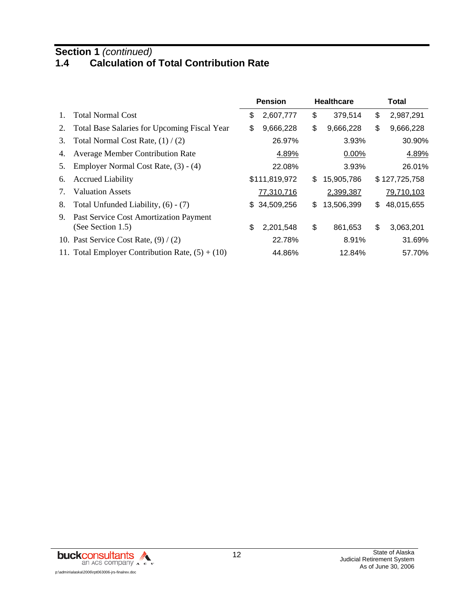#### **Section 1** *(continued)*

## **1.4 Calculation of Total Contribution Rate**

|                |                                                             | <b>Pension</b>  |     | <b>Healthcare</b> | Total            |
|----------------|-------------------------------------------------------------|-----------------|-----|-------------------|------------------|
| $\mathbf{1}$ . | <b>Total Normal Cost</b>                                    | \$<br>2,607,777 | \$  | 379,514           | \$<br>2,987,291  |
| 2.             | <b>Total Base Salaries for Upcoming Fiscal Year</b>         | \$<br>9,666,228 | \$  | 9,666,228         | \$<br>9,666,228  |
| 3.             | Total Normal Cost Rate, $(1) / (2)$                         | 26.97%          |     | 3.93%             | 30.90%           |
| 4.             | <b>Average Member Contribution Rate</b>                     | 4.89%           |     | $0.00\%$          | 4.89%            |
| 5.             | Employer Normal Cost Rate, (3) - (4)                        | 22.08%          |     | 3.93%             | 26.01%           |
| 6.             | <b>Accrued Liability</b>                                    | \$111,819,972   | \$  | 15,905,786        | \$127,725,758    |
| 7.             | <b>Valuation Assets</b>                                     | 77,310,716      |     | 2,399,387         | 79,710,103       |
| 8.             | Total Unfunded Liability, (6) - (7)                         | \$ 34,509,256   | \$. | 13,506,399        | \$<br>48,015,655 |
| 9.             | Past Service Cost Amortization Payment<br>(See Section 1.5) | \$<br>2,201,548 | \$  | 861,653           | \$<br>3,063,201  |
|                | 10. Past Service Cost Rate, $(9) / (2)$                     | 22.78%          |     | 8.91%             | 31.69%           |
|                | 11. Total Employer Contribution Rate, $(5) + (10)$          | 44.86%          |     | 12.84%            | 57.70%           |

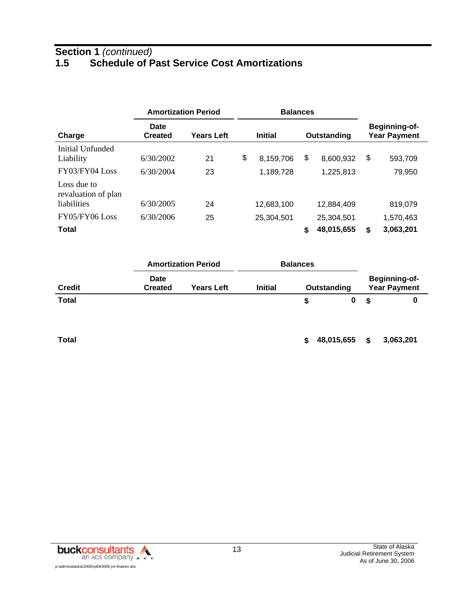## **Section 1** *(continued)* **1.5 Schedule of Past Service Cost Amortizations**

|                                    |                        | <b>Amortization Period</b> | <b>Balances</b>               |    |            |                                             |
|------------------------------------|------------------------|----------------------------|-------------------------------|----|------------|---------------------------------------------|
| Charge                             | Date<br><b>Created</b> | Years Left                 | <b>Initial</b><br>Outstanding |    |            | <b>Beginning-of-</b><br><b>Year Payment</b> |
| Initial Unfunded<br>Liability      | 6/30/2002              | 21                         | \$<br>8,159,706               | \$ | 8,600,932  | \$<br>593,709                               |
| FY03/FY04 Loss                     | 6/30/2004              | 23                         | 1,189,728                     |    | 1,225,813  | 79,950                                      |
| Loss due to<br>revaluation of plan |                        |                            |                               |    |            |                                             |
| liabilities                        | 6/30/2005              | 24                         | 12,683,100                    |    | 12,884,409 | 819,079                                     |
| FY05/FY06 Loss                     | 6/30/2006              | 25                         | 25,304,501                    |    | 25,304,501 | 1,570,463                                   |
| <b>Total</b>                       |                        |                            |                               | \$ | 48,015,655 | \$<br>3,063,201                             |

|               | <b>Amortization Period</b> |                   | <b>Balances</b> |             |    |                                             |
|---------------|----------------------------|-------------------|-----------------|-------------|----|---------------------------------------------|
| <b>Credit</b> | Date<br><b>Created</b>     | <b>Years Left</b> | <b>Initial</b>  | Outstanding |    | <b>Beginning-of-</b><br><b>Year Payment</b> |
| <b>Total</b>  |                            |                   |                 | Ŝ.          | £. |                                             |

**Total 5 48,015,655 \$** 3,063,201

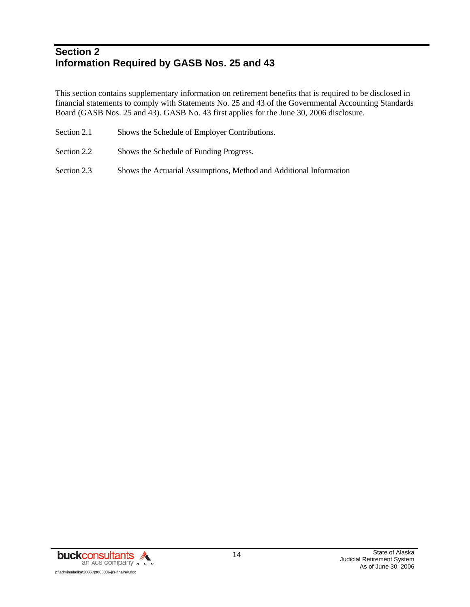## **Section 2 Information Required by GASB Nos. 25 and 43**

This section contains supplementary information on retirement benefits that is required to be disclosed in financial statements to comply with Statements No. 25 and 43 of the Governmental Accounting Standards Board (GASB Nos. 25 and 43). GASB No. 43 first applies for the June 30, 2006 disclosure.

- Section 2.1 Shows the Schedule of Employer Contributions.
- Section 2.2 Shows the Schedule of Funding Progress.
- Section 2.3 Shows the Actuarial Assumptions, Method and Additional Information

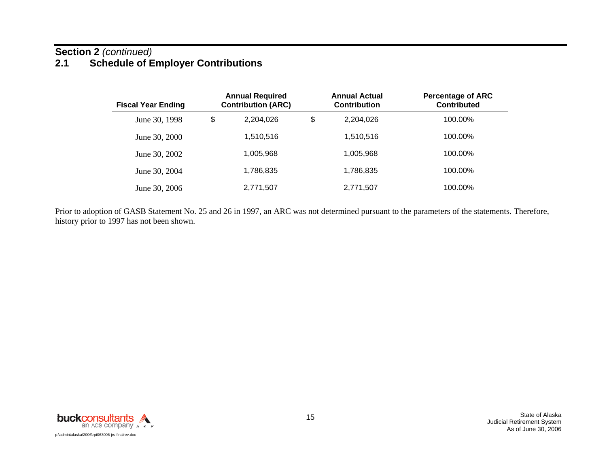## **Section 2** *(continued)* **2.1 Schedule of Employer Contributions**

| <b>Fiscal Year Ending</b> | <b>Annual Required</b><br><b>Contribution (ARC)</b> | <b>Annual Actual</b><br><b>Contribution</b> | <b>Percentage of ARC</b><br><b>Contributed</b> |
|---------------------------|-----------------------------------------------------|---------------------------------------------|------------------------------------------------|
| June 30, 1998             | \$<br>2,204,026                                     | \$<br>2,204,026                             | 100.00%                                        |
| June 30, 2000             | 1,510,516                                           | 1,510,516                                   | 100.00%                                        |
| June 30, 2002             | 1,005,968                                           | 1,005,968                                   | 100.00%                                        |
| June 30, 2004             | 1,786,835                                           | 1,786,835                                   | 100.00%                                        |
| June 30, 2006             | 2,771,507                                           | 2,771,507                                   | 100.00%                                        |

Prior to adoption of GASB Statement No. 25 and 26 in 1997, an ARC was not determined pursuant to the parameters of the statements. Therefore, history prior to 1997 has not been shown.

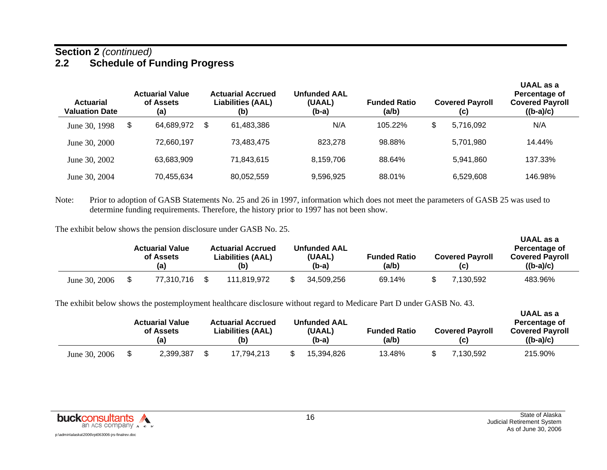#### **Section 2** *(continued)* **2.2 Schedule of Funding Progress**

| <b>Actuarial</b><br><b>Valuation Date</b> | <b>Actuarial Value</b><br>of Assets<br>(a) | <b>Actuarial Accrued</b><br><b>Liabilities (AAL)</b><br>(b) | <b>Unfunded AAL</b><br>(UAAL)<br>$(b-a)$ | <b>Funded Ratio</b><br>(a/b) | <b>Covered Payroll</b><br>(c) | UAAL as a<br>Percentage of<br><b>Covered Payroll</b><br>$((b-a)/c)$ |
|-------------------------------------------|--------------------------------------------|-------------------------------------------------------------|------------------------------------------|------------------------------|-------------------------------|---------------------------------------------------------------------|
| June 30, 1998                             | \$<br>64,689,972                           | \$<br>61,483,386                                            | N/A                                      | 105.22%                      | \$<br>5.716.092               | N/A                                                                 |
| June 30, 2000                             | 72,660,197                                 | 73.483.475                                                  | 823.278                                  | 98.88%                       | 5,701,980                     | 14.44%                                                              |
| June 30, 2002                             | 63,683,909                                 | 71,843,615                                                  | 8,159,706                                | 88.64%                       | 5,941,860                     | 137.33%                                                             |
| June 30, 2004                             | 70,455,634                                 | 80,052,559                                                  | 9,596,925                                | 88.01%                       | 6,529,608                     | 146.98%                                                             |

Note: Prior to adoption of GASB Statements No. 25 and 26 in 1997, information which does not meet the parameters of GASB 25 was used to determine funding requirements. Therefore, the history prior to 1997 has not been show.

The exhibit below shows the pension disclosure under GASB No. 25.

|               | <b>Actuarial Value</b><br>of Assets<br>(a) |            | <b>Actuarial Accrued</b><br><b>Liabilities (AAL)</b><br>(b) | <b>Unfunded AAL</b><br>(UAAL)<br>$(b-a)$ | <b>Funded Ratio</b><br>(a/b) | <b>Covered Payroll</b><br>(C) | UAAL as a<br>Percentage of<br><b>Covered Payroll</b><br>$((b-a)/c)$ |  |
|---------------|--------------------------------------------|------------|-------------------------------------------------------------|------------------------------------------|------------------------------|-------------------------------|---------------------------------------------------------------------|--|
| June 30, 2006 |                                            | 77.310.716 | 111.819.972                                                 | 34,509,256                               | 69.14%                       | 7.130.592                     | 483.96%                                                             |  |

The exhibit below shows the postemployment healthcare disclosure without regard to Medicare Part D under GASB No. 43.

|               | <b>Actuarial Value</b><br>of Assets<br>(a) |  | <b>Actuarial Accrued</b><br><b>Liabilities (AAL)</b><br>(b) | <b>Unfunded AAL</b><br>(UAAL)<br>(b-a) | <b>Funded Ratio</b><br>(a/b) | <b>Covered Payroll</b><br>(C) | UAAL as a<br>Percentage of<br><b>Covered Payroll</b><br>$((b-a)/c)$ |
|---------------|--------------------------------------------|--|-------------------------------------------------------------|----------------------------------------|------------------------------|-------------------------------|---------------------------------------------------------------------|
| June 30, 2006 | 2,399,387                                  |  | 17.794.213                                                  | 15,394,826                             | 13.48%                       | 7.130.592                     | 215.90%                                                             |

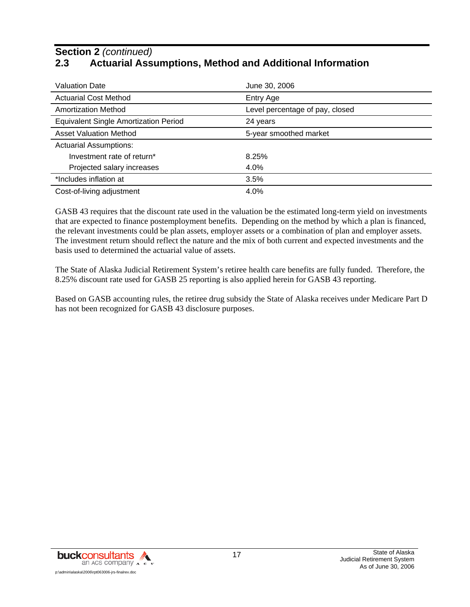## **Section 2** *(continued)* **2.3 Actuarial Assumptions, Method and Additional Information**

| <b>Valuation Date</b>                        | June 30, 2006                   |  |
|----------------------------------------------|---------------------------------|--|
| <b>Actuarial Cost Method</b>                 | Entry Age                       |  |
| <b>Amortization Method</b>                   | Level percentage of pay, closed |  |
| <b>Equivalent Single Amortization Period</b> | 24 years                        |  |
| <b>Asset Valuation Method</b>                | 5-year smoothed market          |  |
| <b>Actuarial Assumptions:</b>                |                                 |  |
| Investment rate of return*                   | 8.25%                           |  |
| Projected salary increases                   | 4.0%                            |  |
| *Includes inflation at                       | 3.5%                            |  |
| Cost-of-living adjustment                    | 4.0%                            |  |

GASB 43 requires that the discount rate used in the valuation be the estimated long-term yield on investments that are expected to finance postemployment benefits. Depending on the method by which a plan is financed, the relevant investments could be plan assets, employer assets or a combination of plan and employer assets. The investment return should reflect the nature and the mix of both current and expected investments and the basis used to determined the actuarial value of assets.

The State of Alaska Judicial Retirement System's retiree health care benefits are fully funded. Therefore, the 8.25% discount rate used for GASB 25 reporting is also applied herein for GASB 43 reporting.

Based on GASB accounting rules, the retiree drug subsidy the State of Alaska receives under Medicare Part D has not been recognized for GASB 43 disclosure purposes.

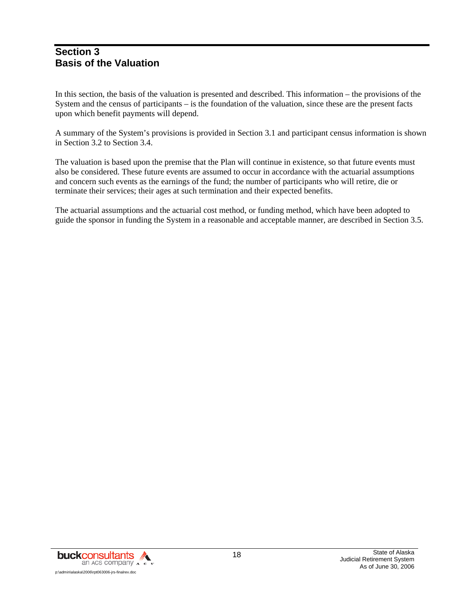#### **Section 3 Basis of the Valuation**

In this section, the basis of the valuation is presented and described. This information – the provisions of the System and the census of participants – is the foundation of the valuation, since these are the present facts upon which benefit payments will depend.

A summary of the System's provisions is provided in Section 3.1 and participant census information is shown in Section 3.2 to Section 3.4.

The valuation is based upon the premise that the Plan will continue in existence, so that future events must also be considered. These future events are assumed to occur in accordance with the actuarial assumptions and concern such events as the earnings of the fund; the number of participants who will retire, die or terminate their services; their ages at such termination and their expected benefits.

The actuarial assumptions and the actuarial cost method, or funding method, which have been adopted to guide the sponsor in funding the System in a reasonable and acceptable manner, are described in Section 3.5.

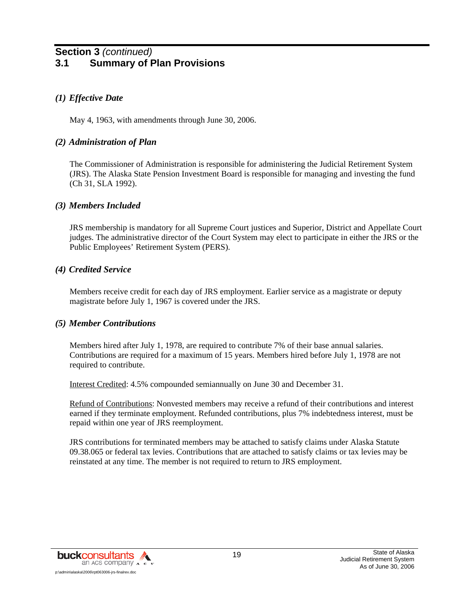## **Section 3** *(continued)* **3.1 Summary of Plan Provisions**

#### *(1) Effective Date*

May 4, 1963, with amendments through June 30, 2006.

#### *(2) Administration of Plan*

The Commissioner of Administration is responsible for administering the Judicial Retirement System (JRS). The Alaska State Pension Investment Board is responsible for managing and investing the fund (Ch 31, SLA 1992).

#### *(3) Members Included*

JRS membership is mandatory for all Supreme Court justices and Superior, District and Appellate Court judges. The administrative director of the Court System may elect to participate in either the JRS or the Public Employees' Retirement System (PERS).

#### *(4) Credited Service*

Members receive credit for each day of JRS employment. Earlier service as a magistrate or deputy magistrate before July 1, 1967 is covered under the JRS.

#### *(5) Member Contributions*

Members hired after July 1, 1978, are required to contribute 7% of their base annual salaries. Contributions are required for a maximum of 15 years. Members hired before July 1, 1978 are not required to contribute.

Interest Credited: 4.5% compounded semiannually on June 30 and December 31.

Refund of Contributions: Nonvested members may receive a refund of their contributions and interest earned if they terminate employment. Refunded contributions, plus 7% indebtedness interest, must be repaid within one year of JRS reemployment.

JRS contributions for terminated members may be attached to satisfy claims under Alaska Statute 09.38.065 or federal tax levies. Contributions that are attached to satisfy claims or tax levies may be reinstated at any time. The member is not required to return to JRS employment.

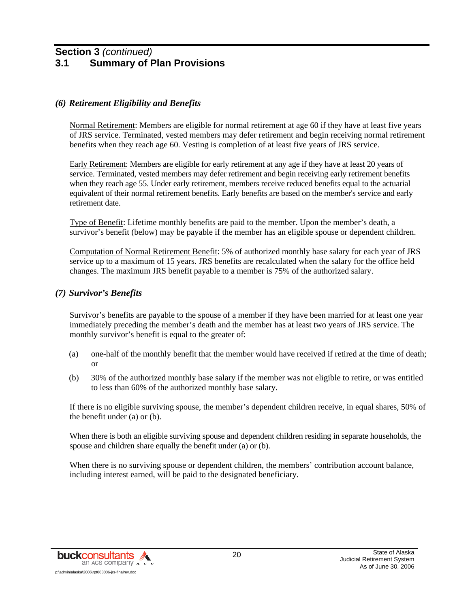#### **Section 3** *(continued)* **3.1 Summary of Plan Provisions**

#### *(6) Retirement Eligibility and Benefits*

Normal Retirement: Members are eligible for normal retirement at age 60 if they have at least five years of JRS service. Terminated, vested members may defer retirement and begin receiving normal retirement benefits when they reach age 60. Vesting is completion of at least five years of JRS service.

Early Retirement: Members are eligible for early retirement at any age if they have at least 20 years of service. Terminated, vested members may defer retirement and begin receiving early retirement benefits when they reach age 55. Under early retirement, members receive reduced benefits equal to the actuarial equivalent of their normal retirement benefits. Early benefits are based on the member's service and early retirement date.

Type of Benefit: Lifetime monthly benefits are paid to the member. Upon the member's death, a survivor's benefit (below) may be payable if the member has an eligible spouse or dependent children.

Computation of Normal Retirement Benefit: 5% of authorized monthly base salary for each year of JRS service up to a maximum of 15 years. JRS benefits are recalculated when the salary for the office held changes. The maximum JRS benefit payable to a member is 75% of the authorized salary.

#### *(7) Survivor's Benefits*

Survivor's benefits are payable to the spouse of a member if they have been married for at least one year immediately preceding the member's death and the member has at least two years of JRS service. The monthly survivor's benefit is equal to the greater of:

- (a) one-half of the monthly benefit that the member would have received if retired at the time of death; or
- (b) 30% of the authorized monthly base salary if the member was not eligible to retire, or was entitled to less than 60% of the authorized monthly base salary.

If there is no eligible surviving spouse, the member's dependent children receive, in equal shares, 50% of the benefit under (a) or (b).

When there is both an eligible surviving spouse and dependent children residing in separate households, the spouse and children share equally the benefit under (a) or (b).

When there is no surviving spouse or dependent children, the members' contribution account balance, including interest earned, will be paid to the designated beneficiary.

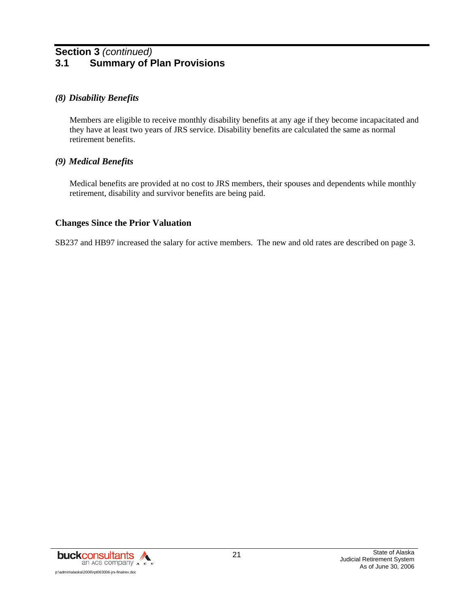## **Section 3** *(continued)* **3.1 Summary of Plan Provisions**

#### *(8) Disability Benefits*

Members are eligible to receive monthly disability benefits at any age if they become incapacitated and they have at least two years of JRS service. Disability benefits are calculated the same as normal retirement benefits.

#### *(9) Medical Benefits*

Medical benefits are provided at no cost to JRS members, their spouses and dependents while monthly retirement, disability and survivor benefits are being paid.

#### **Changes Since the Prior Valuation**

SB237 and HB97 increased the salary for active members. The new and old rates are described on page 3.

![](_page_25_Picture_7.jpeg)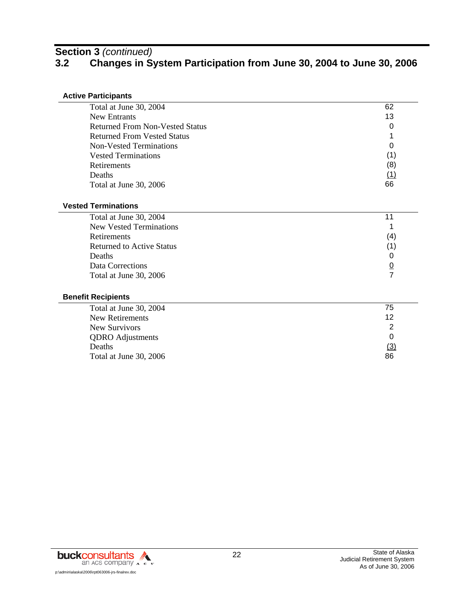# **Section 3** *(continued)*

# **3.2 Changes in System Participation from June 30, 2004 to June 30, 2006**

#### **Active Participants**

| Total at June 30, 2004                 | 62  |
|----------------------------------------|-----|
| New Entrants                           | 13  |
| <b>Returned From Non-Vested Status</b> | 0   |
| <b>Returned From Vested Status</b>     |     |
| Non-Vested Terminations                | 0   |
| <b>Vested Terminations</b>             | (1) |
| Retirements                            | (8) |
| Deaths                                 |     |
| Total at June 30, 2006                 | 66  |
|                                        |     |

#### **Vested Terminations**

| Total at June 30, 2004           |     |
|----------------------------------|-----|
| <b>New Vested Terminations</b>   |     |
| <b>Retirements</b>               | (4) |
| <b>Returned to Active Status</b> |     |
| Deaths                           |     |
| Data Corrections                 | 0   |
| Total at June 30, 2006           |     |
|                                  |     |

#### **Benefit Recipients**

| Total at June 30, 2004  | 75  |
|-------------------------|-----|
| New Retirements         | 12  |
| New Survivors           |     |
| <b>QDRO</b> Adjustments |     |
| Deaths                  | (3) |
| Total at June 30, 2006  | 86  |

![](_page_26_Picture_8.jpeg)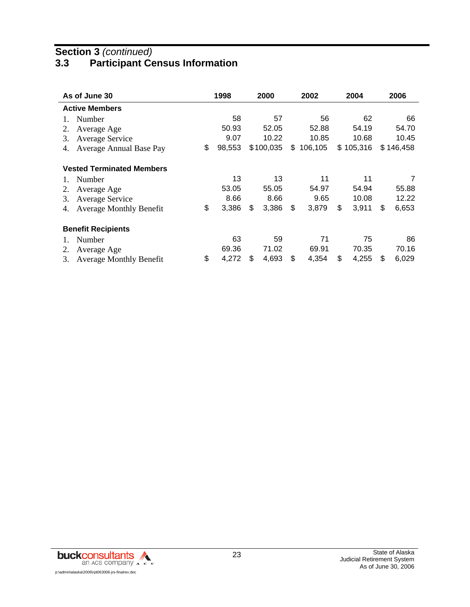## **Section 3** *(continued)*

# **3.3 Participant Census Information**

| As of June 30                        | 1998         | 2000        | 2002          | 2004        |    | 2006      |
|--------------------------------------|--------------|-------------|---------------|-------------|----|-----------|
| <b>Active Members</b>                |              |             |               |             |    |           |
| Number                               | 58           | 57          | 56            | 62          |    | 66        |
| Average Age<br>2.                    | 50.93        | 52.05       | 52.88         | 54.19       |    | 54.70     |
| Average Service<br>3.                | 9.07         | 10.22       | 10.85         | 10.68       |    | 10.45     |
| Average Annual Base Pay<br>4.        | \$<br>98,553 | \$100,035   | \$<br>106,105 | \$105,316   |    | \$146,458 |
| <b>Vested Terminated Members</b>     |              |             |               |             |    |           |
| Number                               | 13           | 13          | 11            | 11          |    | 7         |
| 2.<br>Average Age                    | 53.05        | 55.05       | 54.97         | 54.94       |    | 55.88     |
| Average Service<br>3.                | 8.66         | 8.66        | 9.65          | 10.08       |    | 12.22     |
| <b>Average Monthly Benefit</b><br>4. | \$<br>3,386  | \$<br>3,386 | \$<br>3,879   | \$<br>3,911 | S  | 6,653     |
| <b>Benefit Recipients</b>            |              |             |               |             |    |           |
| Number                               | 63           | 59          | 71            | 75          |    | 86        |
| 2.<br>Average Age                    | 69.36        | 71.02       | 69.91         | 70.35       |    | 70.16     |
| <b>Average Monthly Benefit</b><br>3. | \$<br>4,272  | \$<br>4,693 | \$<br>4,354   | \$<br>4,255 | \$ | 6,029     |

![](_page_27_Picture_3.jpeg)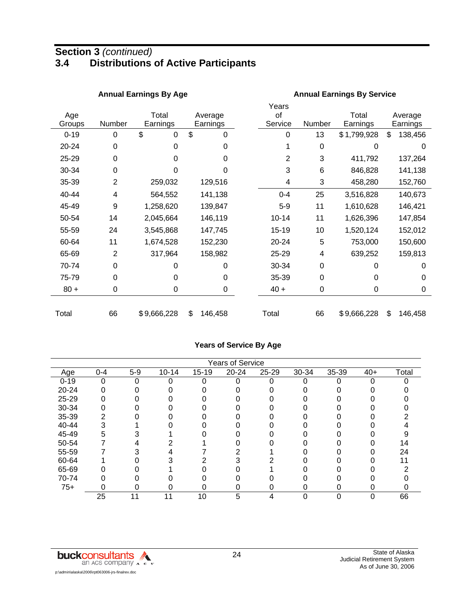## **Section 3** *(continued)* **3.4 Distributions of Active Participants**

|               |                | <b>Annual Earnings By Age</b> |                     | <b>Annual Earnings By Service</b> |                 |                   |                     |  |  |  |
|---------------|----------------|-------------------------------|---------------------|-----------------------------------|-----------------|-------------------|---------------------|--|--|--|
| Age<br>Groups | Number         | Total<br>Earnings             | Average<br>Earnings | Years<br>οf<br>Service            | Number          | Total<br>Earnings | Average<br>Earnings |  |  |  |
| $0 - 19$      | 0              | \$<br>0                       | \$<br>0             | 0                                 | 13              | \$1,799,928       | \$<br>138,456       |  |  |  |
| 20-24         | 0              | 0                             | 0                   |                                   | $\mathbf 0$     | 0                 | 0                   |  |  |  |
| 25-29         | 0              | 0                             | 0                   | 2                                 | 3               | 411,792           | 137,264             |  |  |  |
| 30-34         | 0              | 0                             | 0                   | 3                                 | $6\phantom{1}6$ | 846,828           | 141,138             |  |  |  |
| 35-39         | $\overline{2}$ | 259,032                       | 129,516             | 4                                 | 3               | 458,280           | 152,760             |  |  |  |
| 40-44         | 4              | 564,552                       | 141,138             | $0 - 4$                           | 25              | 3,516,828         | 140,673             |  |  |  |
| 45-49         | 9              | 1,258,620                     | 139,847             | $5-9$                             | 11              | 1,610,628         | 146,421             |  |  |  |
| 50-54         | 14             | 2,045,664                     | 146,119             | $10 - 14$                         | 11              | 1,626,396         | 147,854             |  |  |  |
| 55-59         | 24             | 3,545,868                     | 147,745             | 15-19                             | 10              | 1,520,124         | 152,012             |  |  |  |
| 60-64         | 11             | 1,674,528                     | 152,230             | 20-24                             | 5               | 753,000           | 150,600             |  |  |  |
| 65-69         | $\overline{2}$ | 317,964                       | 158,982             | 25-29                             | 4               | 639,252           | 159,813             |  |  |  |
| 70-74         | 0              | 0                             | 0                   | 30-34                             | $\mathbf 0$     | ი                 | 0                   |  |  |  |
| 75-79         | $\Omega$       | 0                             | 0                   | 35-39                             | $\Omega$        | 0                 | $\Omega$            |  |  |  |
| $80 +$        | 0              | 0                             | 0                   | $40 +$                            | $\mathbf 0$     | 0                 | 0                   |  |  |  |
| Total         | 66             | \$9,666,228                   | \$<br>146,458       | Total                             | 66              | \$9,666,228       | \$<br>146,458       |  |  |  |

#### **Years of Service By Age**

|          |         |       |           |           | <b>Years of Service</b> |       |       |       |       |       |
|----------|---------|-------|-----------|-----------|-------------------------|-------|-------|-------|-------|-------|
| Age      | $0 - 4$ | $5-9$ | $10 - 14$ | $15 - 19$ | $20 - 24$               | 25-29 | 30-34 | 35-39 | $40+$ | Total |
| $0 - 19$ | 0       |       | ი         | 0         |                         |       | 0     |       | 0     |       |
| 20-24    |         |       |           |           |                         |       |       |       |       |       |
| 25-29    |         |       |           |           |                         |       |       |       |       |       |
| 30-34    |         |       |           |           |                         |       |       |       |       |       |
| 35-39    |         |       |           |           |                         |       |       |       |       |       |
| 40-44    |         |       |           |           |                         |       |       |       |       |       |
| 45-49    | 5       |       |           |           |                         |       |       |       |       |       |
| 50-54    |         |       |           |           |                         |       |       |       |       | 14    |
| 55-59    |         |       |           |           |                         |       |       |       |       | 24    |
| 60-64    |         |       |           |           |                         |       |       |       |       |       |
| 65-69    |         |       |           |           |                         |       |       |       |       |       |
| 70-74    |         |       |           |           |                         |       |       |       |       |       |
| $75+$    | n       |       |           |           |                         |       | 0     | ი     |       |       |
|          | 25      | 11    | 11        | 10        | 5                       | 4     | 0     | 0     |       | 66    |

![](_page_28_Picture_4.jpeg)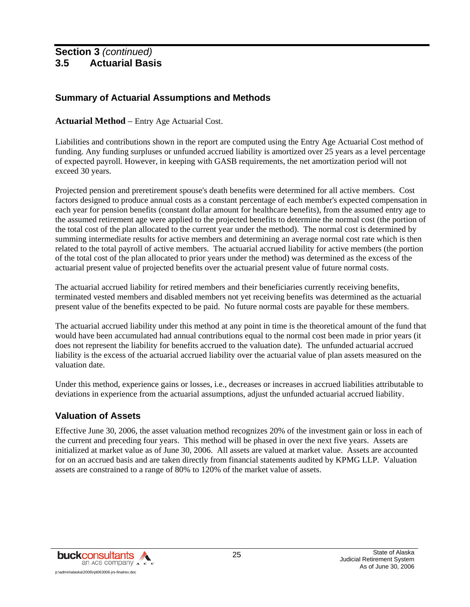## **Summary of Actuarial Assumptions and Methods**

#### **Actuarial Method** – Entry Age Actuarial Cost.

Liabilities and contributions shown in the report are computed using the Entry Age Actuarial Cost method of funding. Any funding surpluses or unfunded accrued liability is amortized over 25 years as a level percentage of expected payroll. However, in keeping with GASB requirements, the net amortization period will not exceed 30 years.

Projected pension and preretirement spouse's death benefits were determined for all active members. Cost factors designed to produce annual costs as a constant percentage of each member's expected compensation in each year for pension benefits (constant dollar amount for healthcare benefits), from the assumed entry age to the assumed retirement age were applied to the projected benefits to determine the normal cost (the portion of the total cost of the plan allocated to the current year under the method). The normal cost is determined by summing intermediate results for active members and determining an average normal cost rate which is then related to the total payroll of active members. The actuarial accrued liability for active members (the portion of the total cost of the plan allocated to prior years under the method) was determined as the excess of the actuarial present value of projected benefits over the actuarial present value of future normal costs.

The actuarial accrued liability for retired members and their beneficiaries currently receiving benefits, terminated vested members and disabled members not yet receiving benefits was determined as the actuarial present value of the benefits expected to be paid. No future normal costs are payable for these members.

The actuarial accrued liability under this method at any point in time is the theoretical amount of the fund that would have been accumulated had annual contributions equal to the normal cost been made in prior years (it does not represent the liability for benefits accrued to the valuation date). The unfunded actuarial accrued liability is the excess of the actuarial accrued liability over the actuarial value of plan assets measured on the valuation date.

Under this method, experience gains or losses, i.e., decreases or increases in accrued liabilities attributable to deviations in experience from the actuarial assumptions, adjust the unfunded actuarial accrued liability.

#### **Valuation of Assets**

Effective June 30, 2006, the asset valuation method recognizes 20% of the investment gain or loss in each of the current and preceding four years. This method will be phased in over the next five years. Assets are initialized at market value as of June 30, 2006. All assets are valued at market value. Assets are accounted for on an accrued basis and are taken directly from financial statements audited by KPMG LLP. Valuation assets are constrained to a range of 80% to 120% of the market value of assets.

![](_page_29_Picture_10.jpeg)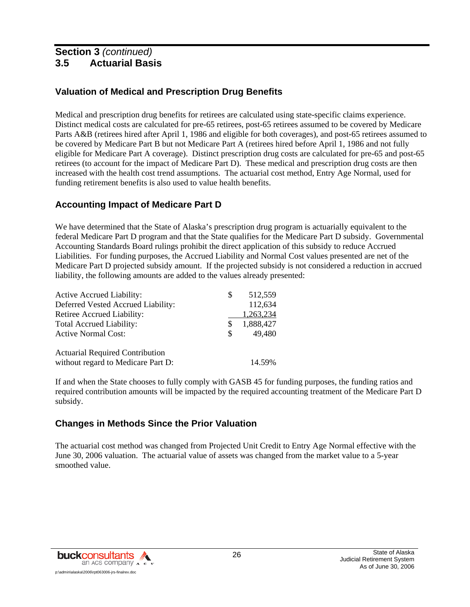## **Valuation of Medical and Prescription Drug Benefits**

Medical and prescription drug benefits for retirees are calculated using state-specific claims experience. Distinct medical costs are calculated for pre-65 retirees, post-65 retirees assumed to be covered by Medicare Parts A&B (retirees hired after April 1, 1986 and eligible for both coverages), and post-65 retirees assumed to be covered by Medicare Part B but not Medicare Part A (retirees hired before April 1, 1986 and not fully eligible for Medicare Part A coverage). Distinct prescription drug costs are calculated for pre-65 and post-65 retirees (to account for the impact of Medicare Part D). These medical and prescription drug costs are then increased with the health cost trend assumptions. The actuarial cost method, Entry Age Normal, used for funding retirement benefits is also used to value health benefits.

## **Accounting Impact of Medicare Part D**

We have determined that the State of Alaska's prescription drug program is actuarially equivalent to the federal Medicare Part D program and that the State qualifies for the Medicare Part D subsidy. Governmental Accounting Standards Board rulings prohibit the direct application of this subsidy to reduce Accrued Liabilities. For funding purposes, the Accrued Liability and Normal Cost values presented are net of the Medicare Part D projected subsidy amount. If the projected subsidy is not considered a reduction in accrued liability, the following amounts are added to the values already presented:

| Active Accrued Liability:              | S        | 512,559   |
|----------------------------------------|----------|-----------|
| Deferred Vested Accrued Liability:     |          | 112,634   |
| Retiree Accrued Liability:             |          | 1,263,234 |
| Total Accrued Liability:               | S        | 1,888,427 |
| <b>Active Normal Cost:</b>             | <b>S</b> | 49,480    |
|                                        |          |           |
| <b>Actuarial Required Contribution</b> |          |           |
| without regard to Medicare Part D:     |          | 14.59%    |

If and when the State chooses to fully comply with GASB 45 for funding purposes, the funding ratios and required contribution amounts will be impacted by the required accounting treatment of the Medicare Part D subsidy.

## **Changes in Methods Since the Prior Valuation**

The actuarial cost method was changed from Projected Unit Credit to Entry Age Normal effective with the June 30, 2006 valuation. The actuarial value of assets was changed from the market value to a 5-year smoothed value.

![](_page_30_Picture_9.jpeg)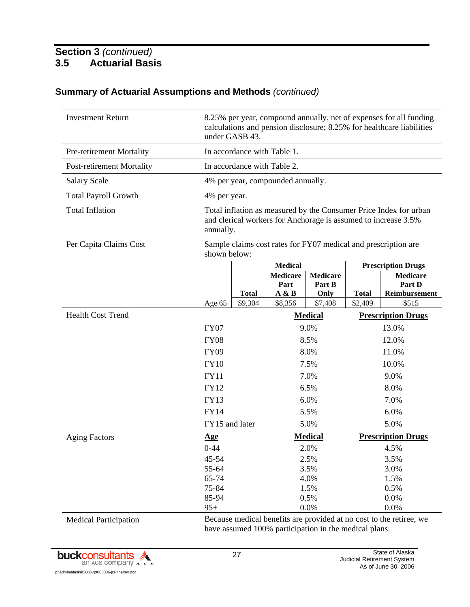| <b>Investment Return</b>         | 8.25% per year, compound annually, net of expenses for all funding<br>calculations and pension disclosure; 8.25% for healthcare liabilities<br>under GASB 43. |              |                                                                |                 |                           |                           |
|----------------------------------|---------------------------------------------------------------------------------------------------------------------------------------------------------------|--------------|----------------------------------------------------------------|-----------------|---------------------------|---------------------------|
| <b>Pre-retirement Mortality</b>  |                                                                                                                                                               |              | In accordance with Table 1.                                    |                 |                           |                           |
| <b>Post-retirement Mortality</b> |                                                                                                                                                               |              | In accordance with Table 2.                                    |                 |                           |                           |
| <b>Salary Scale</b>              |                                                                                                                                                               |              | 4% per year, compounded annually.                              |                 |                           |                           |
| <b>Total Payroll Growth</b>      | 4% per year.                                                                                                                                                  |              |                                                                |                 |                           |                           |
| <b>Total Inflation</b>           | Total inflation as measured by the Consumer Price Index for urban<br>and clerical workers for Anchorage is assumed to increase 3.5%<br>annually.              |              |                                                                |                 |                           |                           |
| Per Capita Claims Cost           | shown below:                                                                                                                                                  |              | Sample claims cost rates for FY07 medical and prescription are |                 |                           |                           |
|                                  |                                                                                                                                                               |              | <b>Medical</b>                                                 |                 |                           | <b>Prescription Drugs</b> |
|                                  |                                                                                                                                                               |              | <b>Medicare</b>                                                | <b>Medicare</b> |                           | <b>Medicare</b>           |
|                                  |                                                                                                                                                               | <b>Total</b> | Part<br>A & B                                                  | Part B<br>Only  | <b>Total</b>              | Part D<br>Reimbursement   |
|                                  | Age 65                                                                                                                                                        | \$9,304      | \$8,356                                                        | \$7,408         | \$2,409                   | \$515                     |
| <b>Health Cost Trend</b>         |                                                                                                                                                               |              |                                                                | <b>Medical</b>  | <b>Prescription Drugs</b> |                           |
|                                  | <b>FY07</b>                                                                                                                                                   |              |                                                                | 9.0%            |                           | 13.0%                     |
|                                  | <b>FY08</b>                                                                                                                                                   |              |                                                                | 8.5%            |                           | 12.0%                     |
|                                  | <b>FY09</b>                                                                                                                                                   |              |                                                                | 8.0%            |                           | 11.0%                     |
|                                  | <b>FY10</b>                                                                                                                                                   |              |                                                                | 7.5%            |                           | 10.0%                     |
|                                  | <b>FY11</b>                                                                                                                                                   |              |                                                                | 7.0%            |                           | 9.0%                      |
|                                  | <b>FY12</b>                                                                                                                                                   |              |                                                                | 6.5%            |                           | 8.0%                      |
|                                  | <b>FY13</b>                                                                                                                                                   |              |                                                                | 6.0%            |                           | 7.0%                      |
|                                  | <b>FY14</b>                                                                                                                                                   |              |                                                                | 5.5%            |                           | 6.0%                      |
|                                  | FY15 and later                                                                                                                                                |              |                                                                | 5.0%            |                           | 5.0%                      |
| <b>Aging Factors</b>             | <u>Age</u>                                                                                                                                                    |              |                                                                | <b>Medical</b>  |                           | <b>Prescription Drugs</b> |
|                                  | $0 - 44$                                                                                                                                                      |              |                                                                | 2.0%            |                           | 4.5%                      |
|                                  | 45-54                                                                                                                                                         |              |                                                                | 2.5%            |                           | 3.5%                      |
|                                  | 55-64                                                                                                                                                         |              |                                                                | 3.5%            |                           | 3.0%                      |
|                                  | 65-74                                                                                                                                                         |              |                                                                | 4.0%            |                           | 1.5%                      |
|                                  | 75-84                                                                                                                                                         |              |                                                                | 1.5%            |                           | 0.5%                      |
|                                  | 85-94                                                                                                                                                         |              |                                                                | 0.5%            |                           | 0.0%                      |
|                                  | $95+$                                                                                                                                                         |              |                                                                | 0.0%            |                           | 0.0%                      |
| <b>Medical Participation</b>     | Because medical benefits are provided at no cost to the retiree, we                                                                                           |              |                                                                |                 |                           |                           |

## **Summary of Actuarial Assumptions and Methods** *(continued)*

**buckconsultants** an Acs company A" c"sp:\admin\alaska\2006\rpt063006-jrs-finalrev.doc

have assumed 100% participation in the medical plans.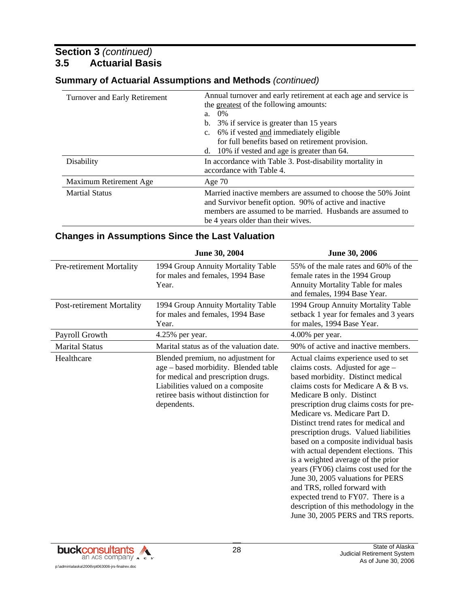| Turnover and Early Retirement | Annual turnover and early retirement at each age and service is<br>the greatest of the following amounts:<br>$0\%$<br>a.<br>3% if service is greater than 15 years<br>b.<br>c. 6% if vested and immediately eligible<br>for full benefits based on retirement provision.<br>10% if vested and age is greater than 64.<br>d. |
|-------------------------------|-----------------------------------------------------------------------------------------------------------------------------------------------------------------------------------------------------------------------------------------------------------------------------------------------------------------------------|
| Disability                    | In accordance with Table 3. Post-disability mortality in<br>accordance with Table 4.                                                                                                                                                                                                                                        |
| Maximum Retirement Age        | Age $70$                                                                                                                                                                                                                                                                                                                    |
| <b>Martial Status</b>         | Married inactive members are assumed to choose the 50% Joint<br>and Survivor benefit option. 90% of active and inactive<br>members are assumed to be married. Husbands are assumed to<br>be 4 years older than their wives.                                                                                                 |

#### **Summary of Actuarial Assumptions and Methods** *(continued)*

#### **Changes in Assumptions Since the Last Valuation**

|                                  | <b>June 30, 2004</b>                                                                                                                                                                                           | <b>June 30, 2006</b>                                                                                                                                                                                                                                                                                                                                                                                                                                                                                                                                                                                                                                                                                         |
|----------------------------------|----------------------------------------------------------------------------------------------------------------------------------------------------------------------------------------------------------------|--------------------------------------------------------------------------------------------------------------------------------------------------------------------------------------------------------------------------------------------------------------------------------------------------------------------------------------------------------------------------------------------------------------------------------------------------------------------------------------------------------------------------------------------------------------------------------------------------------------------------------------------------------------------------------------------------------------|
| Pre-retirement Mortality         | 1994 Group Annuity Mortality Table<br>for males and females, 1994 Base<br>Year.                                                                                                                                | 55% of the male rates and 60% of the<br>female rates in the 1994 Group<br>Annuity Mortality Table for males<br>and females, 1994 Base Year.                                                                                                                                                                                                                                                                                                                                                                                                                                                                                                                                                                  |
| <b>Post-retirement Mortality</b> | 1994 Group Annuity Mortality Table<br>for males and females, 1994 Base<br>Year.                                                                                                                                | 1994 Group Annuity Mortality Table<br>setback 1 year for females and 3 years<br>for males, 1994 Base Year.                                                                                                                                                                                                                                                                                                                                                                                                                                                                                                                                                                                                   |
| Payroll Growth                   | 4.25% per year.                                                                                                                                                                                                | $4.00\%$ per year.                                                                                                                                                                                                                                                                                                                                                                                                                                                                                                                                                                                                                                                                                           |
| <b>Marital Status</b>            | Marital status as of the valuation date.                                                                                                                                                                       | 90% of active and inactive members.                                                                                                                                                                                                                                                                                                                                                                                                                                                                                                                                                                                                                                                                          |
| Healthcare                       | Blended premium, no adjustment for<br>age - based morbidity. Blended table<br>for medical and prescription drugs.<br>Liabilities valued on a composite<br>retiree basis without distinction for<br>dependents. | Actual claims experience used to set<br>claims costs. Adjusted for age -<br>based morbidity. Distinct medical<br>claims costs for Medicare A & B vs.<br>Medicare B only. Distinct<br>prescription drug claims costs for pre-<br>Medicare vs. Medicare Part D.<br>Distinct trend rates for medical and<br>prescription drugs. Valued liabilities<br>based on a composite individual basis<br>with actual dependent elections. This<br>is a weighted average of the prior<br>years (FY06) claims cost used for the<br>June 30, 2005 valuations for PERS<br>and TRS, rolled forward with<br>expected trend to FY07. There is a<br>description of this methodology in the<br>June 30, 2005 PERS and TRS reports. |

![](_page_32_Picture_5.jpeg)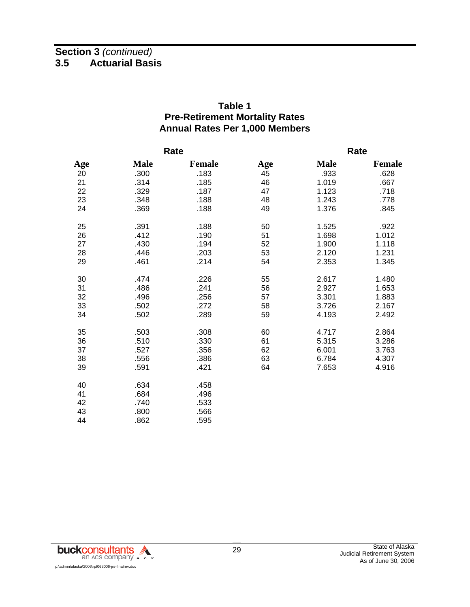|     |             | Rate          |     |             | Rate          |
|-----|-------------|---------------|-----|-------------|---------------|
| Age | <b>Male</b> | <b>Female</b> | Age | <b>Male</b> | <b>Female</b> |
| 20  | .300        | .183          | 45  | .933        | .628          |
| 21  | .314        | .185          | 46  | 1.019       | .667          |
| 22  | .329        | .187          | 47  | 1.123       | .718          |
| 23  | .348        | .188          | 48  | 1.243       | .778          |
| 24  | .369        | .188          | 49  | 1.376       | .845          |
| 25  | .391        | .188          | 50  | 1.525       | .922          |
| 26  | .412        | .190          | 51  | 1.698       | 1.012         |
| 27  | .430        | .194          | 52  | 1.900       | 1.118         |
| 28  | .446        | .203          | 53  | 2.120       | 1.231         |
| 29  | .461        | .214          | 54  | 2.353       | 1.345         |
| 30  | .474        | .226          | 55  | 2.617       | 1.480         |
| 31  | .486        | .241          | 56  | 2.927       | 1.653         |
| 32  | .496        | .256          | 57  | 3.301       | 1.883         |
| 33  | .502        | .272          | 58  | 3.726       | 2.167         |
| 34  | .502        | .289          | 59  | 4.193       | 2.492         |
| 35  | .503        | .308          | 60  | 4.717       | 2.864         |
| 36  | .510        | .330          | 61  | 5.315       | 3.286         |
| 37  | .527        | .356          | 62  | 6.001       | 3.763         |
| 38  | .556        | .386          | 63  | 6.784       | 4.307         |
| 39  | .591        | .421          | 64  | 7.653       | 4.916         |
| 40  | .634        | .458          |     |             |               |
| 41  | .684        | .496          |     |             |               |
| 42  | .740        | .533          |     |             |               |
| 43  | .800        | .566          |     |             |               |
| 44  | .862        | .595          |     |             |               |

#### **Table 1 Pre-Retirement Mortality Rates Annual Rates Per 1,000 Members**

![](_page_33_Picture_3.jpeg)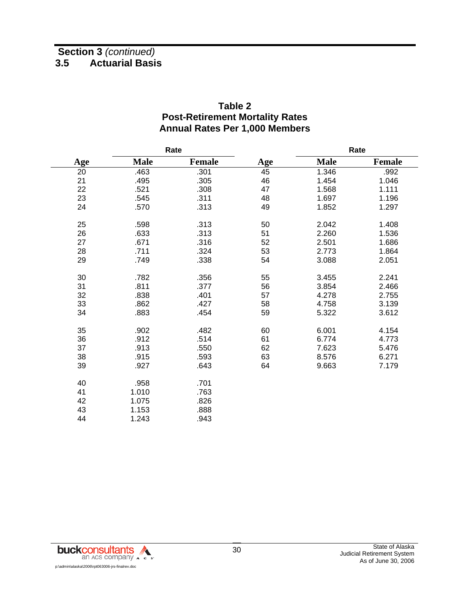|                 |             | Rate   |     |             | Rate          |
|-----------------|-------------|--------|-----|-------------|---------------|
| Age             | <b>Male</b> | Female | Age | <b>Male</b> | <b>Female</b> |
| $\overline{20}$ | .463        | .301   | 45  | 1.346       | .992          |
| 21              | .495        | .305   | 46  | 1.454       | 1.046         |
| 22              | .521        | .308   | 47  | 1.568       | 1.111         |
| 23              | .545        | .311   | 48  | 1.697       | 1.196         |
| 24              | .570        | .313   | 49  | 1.852       | 1.297         |
| 25              | .598        | .313   | 50  | 2.042       | 1.408         |
| 26              | .633        | .313   | 51  | 2.260       | 1.536         |
| 27              | .671        | .316   | 52  | 2.501       | 1.686         |
| 28              | .711        | .324   | 53  | 2.773       | 1.864         |
| 29              | .749        | .338   | 54  | 3.088       | 2.051         |
| 30              | .782        | .356   | 55  | 3.455       | 2.241         |
| 31              | .811        | .377   | 56  | 3.854       | 2.466         |
| 32              | .838        | .401   | 57  | 4.278       | 2.755         |
| 33              | .862        | .427   | 58  | 4.758       | 3.139         |
| 34              | .883        | .454   | 59  | 5.322       | 3.612         |
| 35              | .902        | .482   | 60  | 6.001       | 4.154         |
| 36              | .912        | .514   | 61  | 6.774       | 4.773         |
| 37              | .913        | .550   | 62  | 7.623       | 5.476         |
| 38              | .915        | .593   | 63  | 8.576       | 6.271         |
| 39              | .927        | .643   | 64  | 9.663       | 7.179         |
| 40              | .958        | .701   |     |             |               |
| 41              | 1.010       | .763   |     |             |               |
| 42              | 1.075       | .826   |     |             |               |
| 43              | 1.153       | .888   |     |             |               |
| 44              | 1.243       | .943   |     |             |               |

## **Table 2 Post-Retirement Mortality Rates Annual Rates Per 1,000 Members**

![](_page_34_Picture_3.jpeg)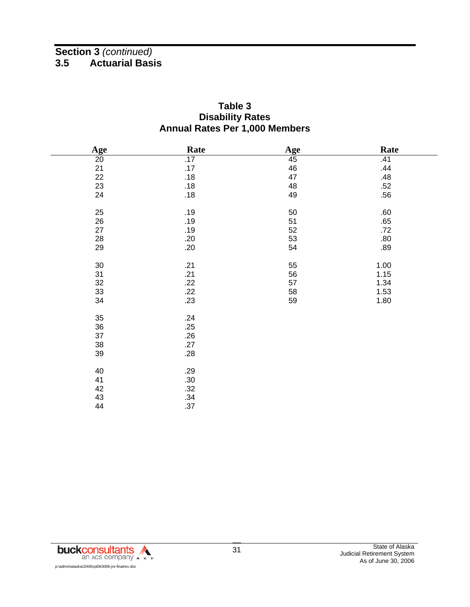#### **Table 3 Disability Rates Annual Rates Per 1,000 Members**

| Age             | Rate | Age | Rate |
|-----------------|------|-----|------|
| $\overline{20}$ | .17  | 45  | .41  |
| 21              | .17  | 46  | .44  |
| 22              | .18  | 47  | .48  |
| 23              | .18  | 48  | .52  |
| 24              | .18  | 49  | .56  |
|                 |      |     |      |
| 25              | .19  | 50  | .60  |
| 26              | .19  | 51  | .65  |
| 27              | .19  | 52  | .72  |
| $28\,$          | .20  | 53  | .80  |
| 29              | .20  | 54  | .89  |
|                 |      |     |      |
| $30\,$          | .21  | 55  | 1.00 |
| 31              | .21  | 56  | 1.15 |
| 32              | .22  | 57  | 1.34 |
| 33              | .22  | 58  | 1.53 |
| 34              | .23  | 59  | 1.80 |
| 35              | .24  |     |      |
| 36              | .25  |     |      |
| 37              | .26  |     |      |
| $38\,$          | .27  |     |      |
|                 |      |     |      |
| 39              | .28  |     |      |
| 40              | .29  |     |      |
| 41              | .30  |     |      |
| 42              | .32  |     |      |
| 43              | .34  |     |      |
| 44              | .37  |     |      |
|                 |      |     |      |

![](_page_35_Picture_3.jpeg)